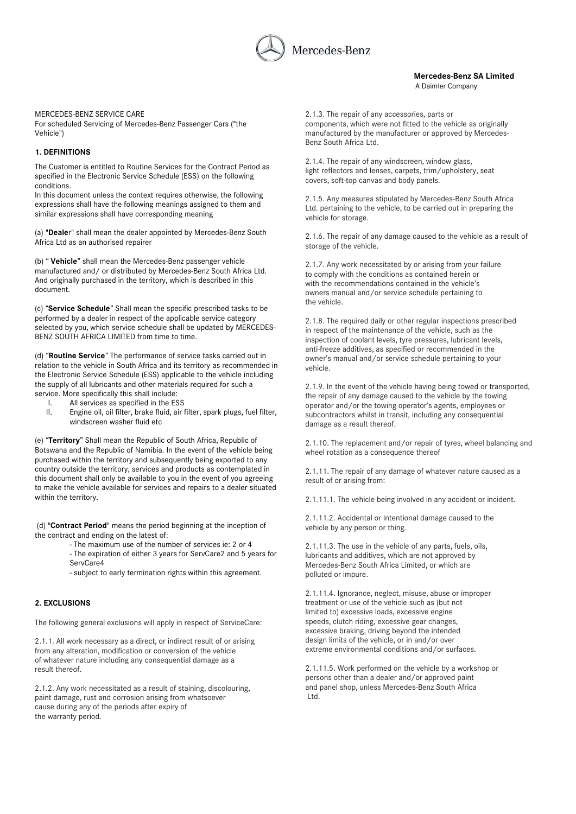

 **Mercedes-Benz SA Limited** A Daimler Company

## MERCEDES-BENZ SERVICE CARE

For scheduled Servicing of Mercedes-Benz Passenger Cars ("the Vehicle")

## **1. DEFINITIONS**

The Customer is entitled to Routine Services for the Contract Period as specified in the Electronic Service Schedule (ESS) on the following conditions.

In this document unless the context requires otherwise, the following expressions shall have the following meanings assigned to them and similar expressions shall have corresponding meaning

(a) "**Deale**r" shall mean the dealer appointed by Mercedes-Benz South Africa Ltd as an authorised repairer

(b) " **Vehicle**" shall mean the Mercedes-Benz passenger vehicle manufactured and/ or distributed by Mercedes-Benz South Africa Ltd. And originally purchased in the territory, which is described in this document.

(c) "**Service Schedule**" Shall mean the specific prescribed tasks to be performed by a dealer in respect of the applicable service category selected by you, which service schedule shall be updated by MERCEDES-BENZ SOUTH AFRICA LIMITED from time to time.

(d) "**Routine Service**" The performance of service tasks carried out in relation to the vehicle in South Africa and its territory as recommended in the Electronic Service Schedule (ESS) applicable to the vehicle including the supply of all lubricants and other materials required for such a service. More specifically this shall include:

- I. All services as specified in the ESS
- II. Engine oil, oil filter, brake fluid, air filter, spark plugs, fuel filter, windscreen washer fluid etc

(e) "**Territory**" Shall mean the Republic of South Africa, Republic of Botswana and the Republic of Namibia. In the event of the vehicle being purchased within the territory and subsequently being exported to any country outside the territory, services and products as contemplated in this document shall only be available to you in the event of you agreeing to make the vehicle available for services and repairs to a dealer situated within the territory.

(d) "**Contract Period**" means the period beginning at the inception of the contract and ending on the latest of:

- The maximum use of the number of services ie: 2 or 4
- The expiration of either 3 years for ServCare2 and 5 years for ServCare4
- subject to early termination rights within this agreement.

# **2. EXCLUSIONS**

The following general exclusions will apply in respect of ServiceCare:

2.1.1. All work necessary as a direct, or indirect result of or arising from any alteration, modification or conversion of the vehicle of whatever nature including any consequential damage as a result thereof.

2.1.2. Any work necessitated as a result of staining, discolouring, paint damage, rust and corrosion arising from whatsoever cause during any of the periods after expiry of the warranty period.

2.1.3. The repair of any accessories, parts or components, which were not fitted to the vehicle as originally manufactured by the manufacturer or approved by Mercedes-Benz South Africa Ltd.

2.1.4. The repair of any windscreen, window glass, light reflectors and lenses, carpets, trim/upholstery, seat covers, soft-top canvas and body panels.

2.1.5. Any measures stipulated by Mercedes-Benz South Africa Ltd. pertaining to the vehicle, to be carried out in preparing the vehicle for storage.

2.1.6. The repair of any damage caused to the vehicle as a result of storage of the vehicle.

2.1.7. Any work necessitated by or arising from your failure to comply with the conditions as contained herein or with the recommendations contained in the vehicle's owners manual and/or service schedule pertaining to the vehicle.

2.1.8. The required daily or other regular inspections prescribed in respect of the maintenance of the vehicle, such as the inspection of coolant levels, tyre pressures, lubricant levels, anti-freeze additives, as specified or recommended in the owner's manual and/or service schedule pertaining to your vehicle.

2.1.9. In the event of the vehicle having being towed or transported, the repair of any damage caused to the vehicle by the towing operator and/or the towing operator's agents, employees or subcontractors whilst in transit, including any consequential damage as a result thereof.

2.1.10. The replacement and/or repair of tyres, wheel balancing and wheel rotation as a consequence thereof

2.1.11. The repair of any damage of whatever nature caused as a result of or arising from:

2.1.11.1. The vehicle being involved in any accident or incident.

2.1.11.2. Accidental or intentional damage caused to the vehicle by any person or thing.

2.1.11.3. The use in the vehicle of any parts, fuels, oils, lubricants and additives, which are not approved by Mercedes-Benz South Africa Limited, or which are polluted or impure.

2.1.11.4. Ignorance, neglect, misuse, abuse or improper treatment or use of the vehicle such as (but not limited to) excessive loads, excessive engine speeds, clutch riding, excessive gear changes, excessive braking, driving beyond the intended design limits of the vehicle, or in and/or over extreme environmental conditions and/or surfaces.

2.1.11.5. Work performed on the vehicle by a workshop or persons other than a dealer and/or approved paint and panel shop, unless Mercedes-Benz South Africa Ltd.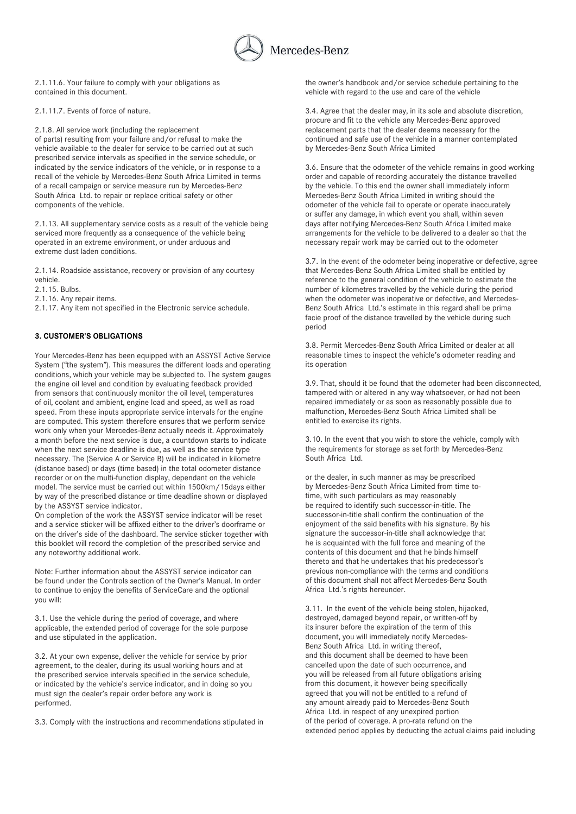

2.1.11.6. Your failure to comply with your obligations as contained in this document.

2.1.11.7. Events of force of nature.

2.1.8. All service work (including the replacement of parts) resulting from your failure and/or refusal to make the vehicle available to the dealer for service to be carried out at such prescribed service intervals as specified in the service schedule, or indicated by the service indicators of the vehicle, or in response to a recall of the vehicle by Mercedes-Benz South Africa Limited in terms of a recall campaign or service measure run by Mercedes-Benz South Africa Ltd. to repair or replace critical safety or other components of the vehicle.

2.1.13. All supplementary service costs as a result of the vehicle being serviced more frequently as a consequence of the vehicle being operated in an extreme environment, or under arduous and extreme dust laden conditions.

2.1.14. Roadside assistance, recovery or provision of any courtesy vehicle.

2.1.15. Bulbs.

2.1.16. Any repair items.

2.1.17. Any item not specified in the Electronic service schedule.

# **3. CUSTOMER'S OBLIGATIONS**

Your Mercedes-Benz has been equipped with an ASSYST Active Service System ("the system"). This measures the different loads and operating conditions, which your vehicle may be subjected to. The system gauges the engine oil level and condition by evaluating feedback provided from sensors that continuously monitor the oil level, temperatures of oil, coolant and ambient, engine load and speed, as well as road speed. From these inputs appropriate service intervals for the engine are computed. This system therefore ensures that we perform service work only when your Mercedes-Benz actually needs it. Approximately a month before the next service is due, a countdown starts to indicate when the next service deadline is due, as well as the service type necessary. The (Service A or Service B) will be indicated in kilometre (distance based) or days (time based) in the total odometer distance recorder or on the multi-function display, dependant on the vehicle model. The service must be carried out within 1500km/15days either by way of the prescribed distance or time deadline shown or displayed by the ASSYST service indicator.

On completion of the work the ASSYST service indicator will be reset and a service sticker will be affixed either to the driver's doorframe or on the driver's side of the dashboard. The service sticker together with this booklet will record the completion of the prescribed service and any noteworthy additional work.

Note: Further information about the ASSYST service indicator can be found under the Controls section of the Owner's Manual. In order to continue to enjoy the benefits of ServiceCare and the optional you will:

3.1. Use the vehicle during the period of coverage, and where applicable, the extended period of coverage for the sole purpose and use stipulated in the application.

3.2. At your own expense, deliver the vehicle for service by prior agreement, to the dealer, during its usual working hours and at the prescribed service intervals specified in the service schedule, or indicated by the vehicle's service indicator, and in doing so you must sign the dealer's repair order before any work is performed.

3.3. Comply with the instructions and recommendations stipulated in

the owner's handbook and/or service schedule pertaining to the vehicle with regard to the use and care of the vehicle

3.4. Agree that the dealer may, in its sole and absolute discretion, procure and fit to the vehicle any Mercedes-Benz approved replacement parts that the dealer deems necessary for the continued and safe use of the vehicle in a manner contemplated by Mercedes-Benz South Africa Limited

3.6. Ensure that the odometer of the vehicle remains in good working order and capable of recording accurately the distance travelled by the vehicle. To this end the owner shall immediately inform Mercedes-Benz South Africa Limited in writing should the odometer of the vehicle fail to operate or operate inaccurately or suffer any damage, in which event you shall, within seven days after notifying Mercedes-Benz South Africa Limited make arrangements for the vehicle to be delivered to a dealer so that the necessary repair work may be carried out to the odometer

3.7. In the event of the odometer being inoperative or defective, agree that Mercedes-Benz South Africa Limited shall be entitled by reference to the general condition of the vehicle to estimate the number of kilometres travelled by the vehicle during the period when the odometer was inoperative or defective, and Mercedes-Benz South Africa Ltd.'s estimate in this regard shall be prima facie proof of the distance travelled by the vehicle during such period

3.8. Permit Mercedes-Benz South Africa Limited or dealer at all reasonable times to inspect the vehicle's odometer reading and its operation

3.9. That, should it be found that the odometer had been disconnected, tampered with or altered in any way whatsoever, or had not been repaired immediately or as soon as reasonably possible due to malfunction, Mercedes-Benz South Africa Limited shall be entitled to exercise its rights.

3.10. In the event that you wish to store the vehicle, comply with the requirements for storage as set forth by Mercedes-Benz South Africa Ltd.

or the dealer, in such manner as may be prescribed by Mercedes-Benz South Africa Limited from time totime, with such particulars as may reasonably be required to identify such successor-in-title. The successor-in-title shall confirm the continuation of the enjoyment of the said benefits with his signature. By his signature the successor-in-title shall acknowledge that he is acquainted with the full force and meaning of the contents of this document and that he binds himself thereto and that he undertakes that his predecessor's previous non-compliance with the terms and conditions of this document shall not affect Mercedes-Benz South Africa Ltd.'s rights hereunder.

3.11. In the event of the vehicle being stolen, hijacked, destroyed, damaged beyond repair, or written-off by its insurer before the expiration of the term of this document, you will immediately notify Mercedes-Benz South Africa Ltd. in writing thereof, and this document shall be deemed to have been cancelled upon the date of such occurrence, and you will be released from all future obligations arising from this document, it however being specifically agreed that you will not be entitled to a refund of any amount already paid to Mercedes-Benz South Africa Ltd. in respect of any unexpired portion of the period of coverage. A pro-rata refund on the extended period applies by deducting the actual claims paid including